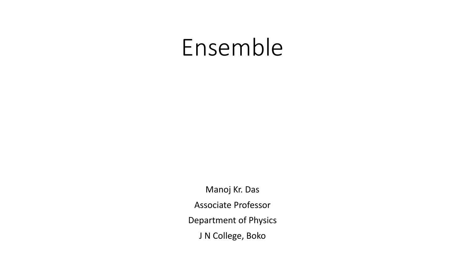## Ensemble

Manoj Kr. Das Associate Professor Department of Physics J N College, Boko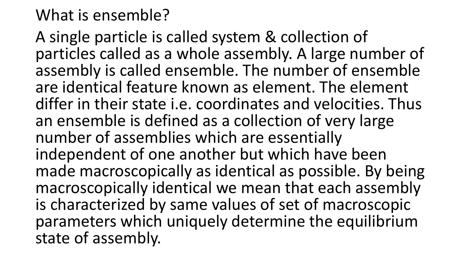## What is ensemble?

A single particle is called system & collection of particles called as a whole assembly. A large number of assembly is called ensemble. The number of ensemble are identical feature known as element. The element differ in their state i.e. coordinates and velocities. Thus an ensemble is defined as a collection of very large number of assemblies which are essentially independent of one another but which have been made macroscopically as identical as possible. By being macroscopically identical we mean that each assembly is characterized by same values of set of macroscopic parameters which uniquely determine the equilibrium state of assembly.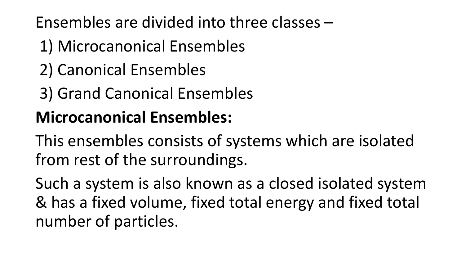Ensembles are divided into three classes –

- 1) Microcanonical Ensembles
- 2) Canonical Ensembles
- 3) Grand Canonical Ensembles

## **Microcanonical Ensembles:**

This ensembles consists of systems which are isolated from rest of the surroundings.

Such a system is also known as a closed isolated system & has a fixed volume, fixed total energy and fixed total number of particles.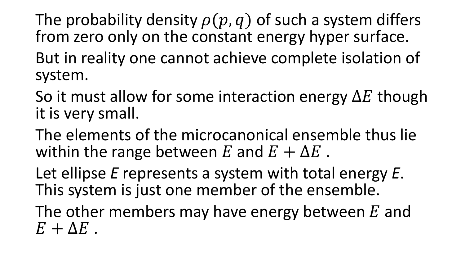The probability density  $\rho(p, q)$  of such a system differs from zero only on the constant energy hyper surface.

- But in reality one cannot achieve complete isolation of system.
- So it must allow for some interaction energy  $\Delta E$  though it is very small.
- The elements of the microcanonical ensemble thus lie within the range between E and  $E + \Delta E$ .
- Let ellipse *E* represents a system with total energy *E*. This system is just one member of the ensemble.
- The other members may have energy between  $E$  and  $E + \Delta E$ .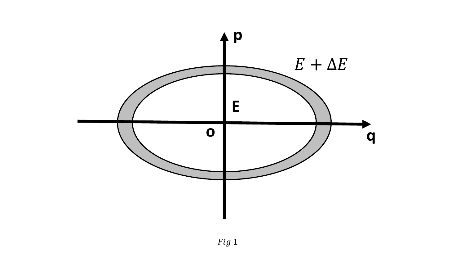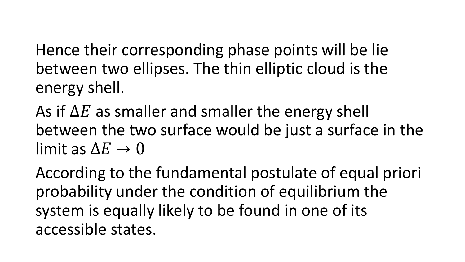Hence their corresponding phase points will be lie between two ellipses. The thin elliptic cloud is the energy shell.

As if  $\Delta E$  as smaller and smaller the energy shell between the two surface would be just a surface in the limit as  $\Delta E \rightarrow 0$ 

According to the fundamental postulate of equal priori probability under the condition of equilibrium the system is equally likely to be found in one of its accessible states.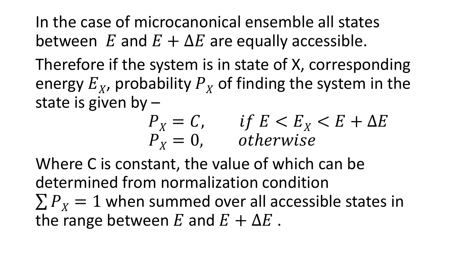In the case of microcanonical ensemble all states between E and  $E + \Delta E$  are equally accessible.

Therefore if the system is in state of X, corresponding energy  $E_X$ , probability  $P_X$  of finding the system in the state is given by –

$$
\begin{array}{ll}\nP_X = C, & if \ E < E_X < E + \Delta E \\
P_X = 0, & otherwise\n\end{array}
$$

Where C is constant, the value of which can be determined from normalization condition  $\sum P_Y = 1$  when summed over all accessible states in the range between  $E$  and  $E + \Delta E$ .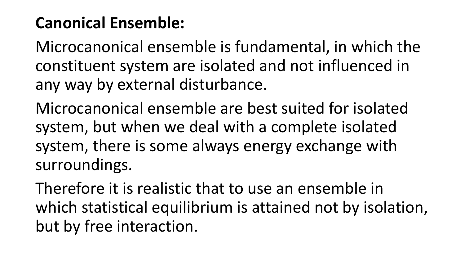## **Canonical Ensemble:**

Microcanonical ensemble is fundamental, in which the constituent system are isolated and not influenced in any way by external disturbance.

Microcanonical ensemble are best suited for isolated system, but when we deal with a complete isolated system, there is some always energy exchange with surroundings.

Therefore it is realistic that to use an ensemble in which statistical equilibrium is attained not by isolation, but by free interaction.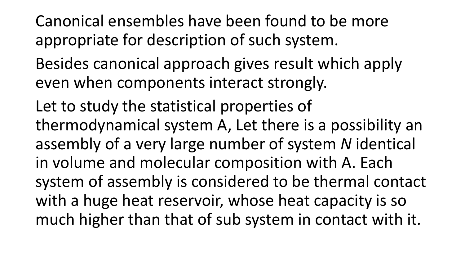Canonical ensembles have been found to be more appropriate for description of such system.

- Besides canonical approach gives result which apply even when components interact strongly.
- Let to study the statistical properties of thermodynamical system A, Let there is a possibility an assembly of a very large number of system *N* identical in volume and molecular composition with A. Each system of assembly is considered to be thermal contact with a huge heat reservoir, whose heat capacity is so much higher than that of sub system in contact with it.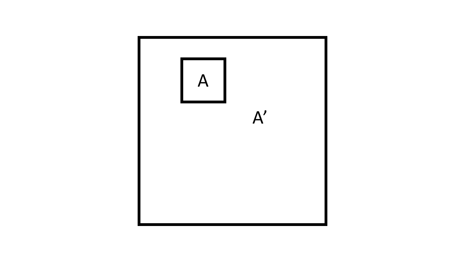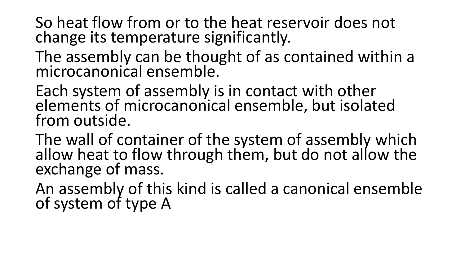So heat flow from or to the heat reservoir does not change its temperature significantly.

- The assembly can be thought of as contained within a microcanonical ensemble.
- Each system of assembly is in contact with other elements of microcanonical ensemble, but isolated from outside.
- The wall of container of the system of assembly which allow heat to flow through them, but do not allow the exchange of mass.
- An assembly of this kind is called a canonical ensemble of system of type A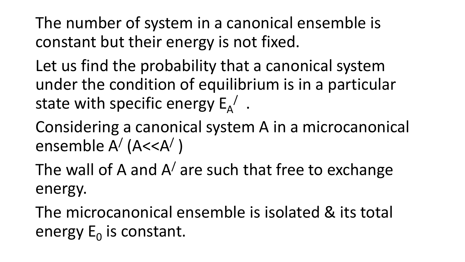The number of system in a canonical ensemble is constant but their energy is not fixed.

Let us find the probability that a canonical system under the condition of equilibrium is in a particular state with specific energy  $E_A^{\phantom{A}}$  .

Considering a canonical system A in a microcanonical ensemble A<sup>/</sup> (A<<A<sup>/</sup>)

The wall of A and  $A'$  are such that free to exchange energy.

The microcanonical ensemble is isolated & its total energy  $E_0$  is constant.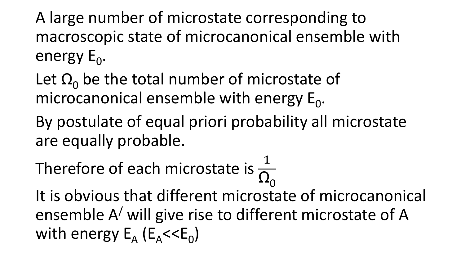A large number of microstate corresponding to macroscopic state of microcanonical ensemble with energy E<sub>0</sub>.

Let  $\Omega_0$  be the total number of microstate of microcanonical ensemble with energy  $E_0$ .

By postulate of equal priori probability all microstate are equally probable.

Therefore of each microstate is  $\frac{1}{\Omega}$  $\Omega_{0}$ 

It is obvious that different microstate of microcanonical ensemble A/ will give rise to different microstate of A with energy  $E_A$  ( $E_A$ < $\leq$  $E_0$ )